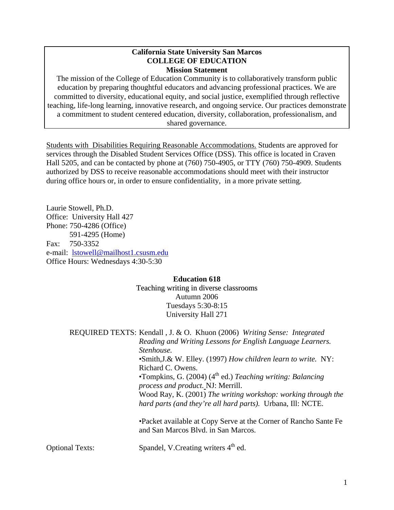### **California State University San Marcos COLLEGE OF EDUCATION Mission Statement**

The mission of the College of Education Community is to collaboratively transform public education by preparing thoughtful educators and advancing professional practices. We are committed to diversity, educational equity, and social justice, exemplified through reflective teaching, life-long learning, innovative research, and ongoing service. Our practices demonstrate a commitment to student centered education, diversity, collaboration, professionalism, and shared governance.

Students with Disabilities Requiring Reasonable Accommodations. Students are approved for services through the Disabled Student Services Office (DSS). This office is located in Craven Hall 5205, and can be contacted by phone at (760) 750-4905, or TTY (760) 750-4909. Students authorized by DSS to receive reasonable accommodations should meet with their instructor during office hours or, in order to ensure confidentiality, in a more private setting.

Laurie Stowell, Ph.D. Office: University Hall 427 Phone: 750-4286 (Office) 591-4295 (Home) Fax: 750-3352 e-mail: lstowell@mailhost1.csusm.edu Office Hours: Wednesdays 4:30-5:30

# **Education 618**

Teaching writing in diverse classrooms Autumn 2006 Tuesdays 5:30-8:15 University Hall 271

REQUIRED TEXTS: Kendall , J. & O. Khuon (2006) *Writing Sense: Integrated Reading and Writing Lessons for English Language Learners. Stenhouse.* •Smith,J.& W. Elley. (1997) *How children learn to write.* NY: Richard C. Owens. •Tompkins, G. (2004) (4th ed.) *Teaching writing: Balancing process and product.* NJ: Merrill. Wood Ray, K. (2001) *The writing workshop: working through the hard parts (and they're all hard parts).* Urbana, Ill: NCTE.

•Packet available at Copy Serve at the Corner of Rancho Sante Fe and San Marcos Blvd. in San Marcos.

Optional Texts: Spandel, V.Creating writers 4<sup>th</sup> ed.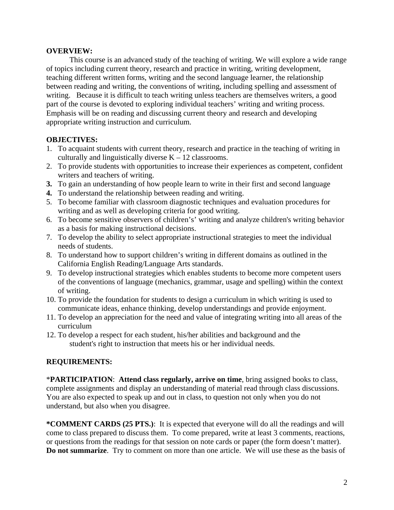## **OVERVIEW:**

 This course is an advanced study of the teaching of writing. We will explore a wide range of topics including current theory, research and practice in writing, writing development, teaching different written forms, writing and the second language learner, the relationship between reading and writing, the conventions of writing, including spelling and assessment of writing. Because it is difficult to teach writing unless teachers are themselves writers, a good part of the course is devoted to exploring individual teachers' writing and writing process. Emphasis will be on reading and discussing current theory and research and developing appropriate writing instruction and curriculum.

## **OBJECTIVES:**

- 1. To acquaint students with current theory, research and practice in the teaching of writing in culturally and linguistically diverse  $K - 12$  classrooms.
- 2. To provide students with opportunities to increase their experiences as competent, confident writers and teachers of writing.
- **3.** To gain an understanding of how people learn to write in their first and second language
- **4.** To understand the relationship between reading and writing.
- 5. To become familiar with classroom diagnostic techniques and evaluation procedures for writing and as well as developing criteria for good writing.
- 6. To become sensitive observers of children's' writing and analyze children's writing behavior as a basis for making instructional decisions.
- 7. To develop the ability to select appropriate instructional strategies to meet the individual needs of students.
- 8. To understand how to support children's writing in different domains as outlined in the California English Reading/Language Arts standards.
- 9. To develop instructional strategies which enables students to become more competent users of the conventions of language (mechanics, grammar, usage and spelling) within the context of writing.
- 10. To provide the foundation for students to design a curriculum in which writing is used to communicate ideas, enhance thinking, develop understandings and provide enjoyment.
- 11. To develop an appreciation for the need and value of integrating writing into all areas of the curriculum
- 12. To develop a respect for each student, his/her abilities and background and the student's right to instruction that meets his or her individual needs.

## **REQUIREMENTS:**

\***PARTICIPATION**: **Attend class regularly, arrive on time**, bring assigned books to class, complete assignments and display an understanding of material read through class discussions. You are also expected to speak up and out in class, to question not only when you do not understand, but also when you disagree.

**\*COMMENT CARDS (25 PTS.)**: It is expected that everyone will do all the readings and will come to class prepared to discuss them. To come prepared, write at least 3 comments, reactions, or questions from the readings for that session on note cards or paper (the form doesn't matter). **Do not summarize**. Try to comment on more than one article. We will use these as the basis of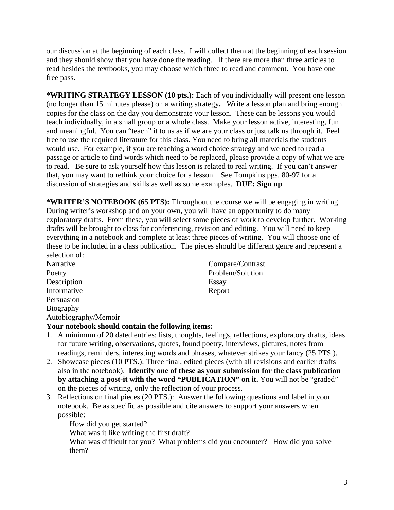our discussion at the beginning of each class. I will collect them at the beginning of each session and they should show that you have done the reading. If there are more than three articles to read besides the textbooks, you may choose which three to read and comment. You have one free pass.

**\*WRITING STRATEGY LESSON (10 pts.):** Each of you individually will present one lesson (no longer than 15 minutes please) on a writing strategy**.** Write a lesson plan and bring enough copies for the class on the day you demonstrate your lesson. These can be lessons you would teach individually, in a small group or a whole class. Make your lesson active, interesting, fun and meaningful. You can "teach" it to us as if we are your class or just talk us through it. Feel free to use the required literature for this class. You need to bring all materials the students would use. For example, if you are teaching a word choice strategy and we need to read a passage or article to find words which need to be replaced, please provide a copy of what we are to read. Be sure to ask yourself how this lesson is related to real writing. If you can't answer that, you may want to rethink your choice for a lesson. See Tompkins pgs. 80-97 for a discussion of strategies and skills as well as some examples. **DUE: Sign up** 

**\*WRITER'S NOTEBOOK (65 PTS):** Throughout the course we will be engaging in writing. During writer's workshop and on your own, you will have an opportunity to do many exploratory drafts. From these, you will select some pieces of work to develop further. Working drafts will be brought to class for conferencing, revision and editing. You will need to keep everything in a notebook and complete at least three pieces of writing. You will choose one of these to be included in a class publication. The pieces should be different genre and represent a selection of:

Description Essay Informative Report Persuasion Biography Autobiography/Memoir

Narrative Compare/Contrast Poetry Problem/Solution

## **Your notebook should contain the following items:**

- 1. A minimum of 20 dated entries: lists, thoughts, feelings, reflections, exploratory drafts, ideas for future writing, observations, quotes, found poetry, interviews, pictures, notes from readings, reminders, interesting words and phrases, whatever strikes your fancy (25 PTS.).
- 2. Showcase pieces (10 PTS.): Three final, edited pieces (with all revisions and earlier drafts also in the notebook). **Identify one of these as your submission for the class publication by attaching a post-it with the word "PUBLICATION" on it.** You will not be "graded" on the pieces of writing, only the reflection of your process.
- 3. Reflections on final pieces (20 PTS.): Answer the following questions and label in your notebook. Be as specific as possible and cite answers to support your answers when possible:

How did you get started?

What was it like writing the first draft?

What was difficult for you? What problems did you encounter? How did you solve them?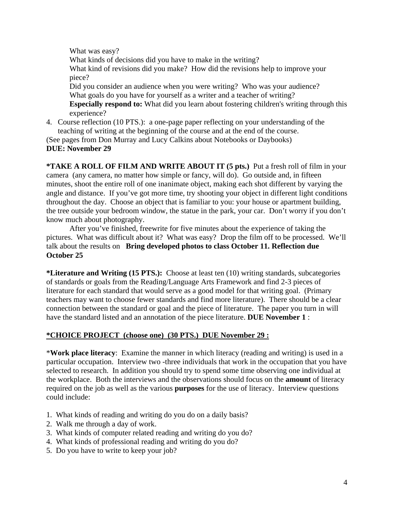What was easy?

What kinds of decisions did you have to make in the writing? What kind of revisions did you make? How did the revisions help to improve your piece? Did you consider an audience when you were writing? Who was your audience? What goals do you have for yourself as a writer and a teacher of writing? **Especially respond to:** What did you learn about fostering children's writing through this

experience?

4. Course reflection (10 PTS.): a one-page paper reflecting on your understanding of the teaching of writing at the beginning of the course and at the end of the course.

(See pages from Don Murray and Lucy Calkins about Notebooks or Daybooks) **DUE: November 29** 

**\*TAKE A ROLL OF FILM AND WRITE ABOUT IT (5 pts.)** Put a fresh roll of film in your camera (any camera, no matter how simple or fancy, will do). Go outside and, in fifteen minutes, shoot the entire roll of one inanimate object, making each shot different by varying the angle and distance. If you've got more time, try shooting your object in different light conditions throughout the day. Choose an object that is familiar to you: your house or apartment building, the tree outside your bedroom window, the statue in the park, your car. Don't worry if you don't know much about photography.

After you've finished, freewrite for five minutes about the experience of taking the pictures. What was difficult about it? What was easy? Drop the film off to be processed. We'll talk about the results on **Bring developed photos to class October 11. Reflection due October 25** 

**\*Literature and Writing (15 PTS.):** Choose at least ten (10) writing standards, subcategories of standards or goals from the Reading/Language Arts Framework and find 2-3 pieces of literature for each standard that would serve as a good model for that writing goal. (Primary teachers may want to choose fewer standards and find more literature). There should be a clear connection between the standard or goal and the piece of literature. The paper you turn in will have the standard listed and an annotation of the piece literature. **DUE November 1** :

# **\*CHOICE PROJECT (choose one) (30 PTS.) DUE November 29 :**

\***Work place literacy**: Examine the manner in which literacy (reading and writing) is used in a particular occupation. Interview two -three individuals that work in the occupation that you have selected to research. In addition you should try to spend some time observing one individual at the workplace. Both the interviews and the observations should focus on the **amount** of literacy required on the job as well as the various **purposes** for the use of literacy. Interview questions could include:

- 1. What kinds of reading and writing do you do on a daily basis?
- 2. Walk me through a day of work.
- 3. What kinds of computer related reading and writing do you do?
- 4. What kinds of professional reading and writing do you do?
- 5. Do you have to write to keep your job?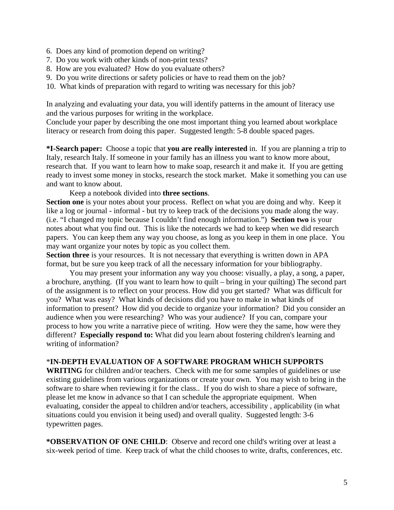- 6. Does any kind of promotion depend on writing?
- 7. Do you work with other kinds of non-print texts?
- 8. How are you evaluated? How do you evaluate others?
- 9. Do you write directions or safety policies or have to read them on the job?
- 10. What kinds of preparation with regard to writing was necessary for this job?

In analyzing and evaluating your data, you will identify patterns in the amount of literacy use and the various purposes for writing in the workplace.

Conclude your paper by describing the one most important thing you learned about workplace literacy or research from doing this paper. Suggested length: 5-8 double spaced pages.

**\*I-Search paper:** Choose a topic that **you are really interested** in. If you are planning a trip to Italy, research Italy. If someone in your family has an illness you want to know more about, research that. If you want to learn how to make soap, research it and make it. If you are getting ready to invest some money in stocks, research the stock market. Make it something you can use and want to know about.

Keep a notebook divided into **three sections**.

**Section one** is your notes about your process. Reflect on what you are doing and why. Keep it like a log or journal - informal - but try to keep track of the decisions you made along the way. (i.e. "I changed my topic because I couldn't find enough information.") **Section two** is your notes about what you find out. This is like the notecards we had to keep when we did research papers. You can keep them any way you choose, as long as you keep in them in one place. You may want organize your notes by topic as you collect them.

Section three is your resources. It is not necessary that everything is written down in APA format, but be sure you keep track of all the necessary information for your bibliography.

 You may present your information any way you choose: visually, a play, a song, a paper, a brochure, anything. (If you want to learn how to quilt – bring in your quilting) The second part of the assignment is to reflect on your process. How did you get started? What was difficult for you? What was easy? What kinds of decisions did you have to make in what kinds of information to present? How did you decide to organize your information? Did you consider an audience when you were researching? Who was your audience? If you can, compare your process to how you write a narrative piece of writing. How were they the same, how were they different? **Especially respond to:** What did you learn about fostering children's learning and writing of information?

## \***IN-DEPTH EVALUATION OF A SOFTWARE PROGRAM WHICH SUPPORTS**

**WRITING** for children and/or teachers. Check with me for some samples of guidelines or use existing guidelines from various organizations or create your own. You may wish to bring in the software to share when reviewing it for the class.. If you do wish to share a piece of software, please let me know in advance so that I can schedule the appropriate equipment. When evaluating, consider the appeal to children and/or teachers, accessibility , applicability (in what situations could you envision it being used) and overall quality. Suggested length: 3-6 typewritten pages.

**\*OBSERVATION OF ONE CHILD**: Observe and record one child's writing over at least a six-week period of time. Keep track of what the child chooses to write, drafts, conferences, etc.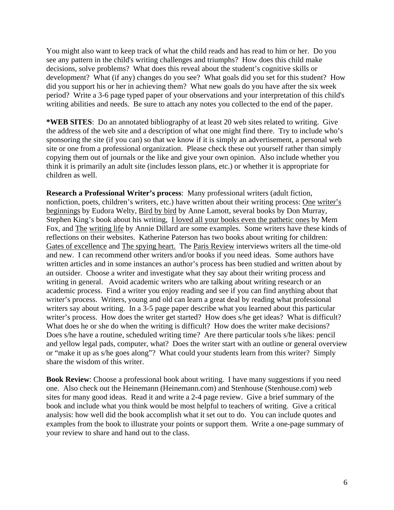You might also want to keep track of what the child reads and has read to him or her. Do you see any pattern in the child's writing challenges and triumphs? How does this child make decisions, solve problems? What does this reveal about the student's cognitive skills or development? What (if any) changes do you see? What goals did you set for this student? How did you support his or her in achieving them? What new goals do you have after the six week period? Write a 3-6 page typed paper of your observations and your interpretation of this child's writing abilities and needs. Be sure to attach any notes you collected to the end of the paper.

**\*WEB SITES**: Do an annotated bibliography of at least 20 web sites related to writing. Give the address of the web site and a description of what one might find there. Try to include who's sponsoring the site (if you can) so that we know if it is simply an advertisement, a personal web site or one from a professional organization. Please check these out yourself rather than simply copying them out of journals or the like and give your own opinion. Also include whether you think it is primarily an adult site (includes lesson plans, etc.) or whether it is appropriate for children as well.

**Research a Professional Writer's process**: Many professional writers (adult fiction, nonfiction, poets, children's writers, etc.) have written about their writing process: One writer's beginnings by Eudora Welty, Bird by bird by Anne Lamott, several books by Don Murray, Stephen King's book about his writing, I loved all your books even the pathetic ones by Mem Fox, and The writing life by Annie Dillard are some examples. Some writers have these kinds of reflections on their websites. Katherine Paterson has two books about writing for children: Gates of excellence and The spying heart. The Paris Review interviews writers all the time-old and new. I can recommend other writers and/or books if you need ideas. Some authors have written articles and in some instances an author's process has been studied and written about by an outsider. Choose a writer and investigate what they say about their writing process and writing in general. Avoid academic writers who are talking about writing research or an academic process. Find a writer you enjoy reading and see if you can find anything about that writer's process. Writers, young and old can learn a great deal by reading what professional writers say about writing. In a 3-5 page paper describe what you learned about this particular writer's process. How does the writer get started? How does s/he get ideas? What is difficult? What does he or she do when the writing is difficult? How does the writer make decisions? Does s/he have a routine, scheduled writing time? Are there particular tools s/he likes: pencil and yellow legal pads, computer, what? Does the writer start with an outline or general overview or "make it up as s/he goes along"? What could your students learn from this writer? Simply share the wisdom of this writer.

**Book Review:** Choose a professional book about writing. I have many suggestions if you need one. Also check out the Heinemann (Heinemann.com) and Stenhouse (Stenhouse.com) web sites for many good ideas. Read it and write a 2-4 page review. Give a brief summary of the book and include what you think would be most helpful to teachers of writing. Give a critical analysis: how well did the book accomplish what it set out to do. You can include quotes and examples from the book to illustrate your points or support them. Write a one-page summary of your review to share and hand out to the class.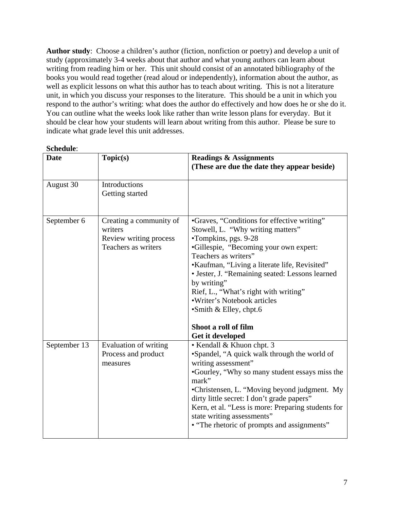**Author study**: Choose a children's author (fiction, nonfiction or poetry) and develop a unit of study (approximately 3-4 weeks about that author and what young authors can learn about writing from reading him or her. This unit should consist of an annotated bibliography of the books you would read together (read aloud or independently), information about the author, as well as explicit lessons on what this author has to teach about writing. This is not a literature unit, in which you discuss your responses to the literature. This should be a unit in which you respond to the author's writing: what does the author do effectively and how does he or she do it. You can outline what the weeks look like rather than write lesson plans for everyday. But it should be clear how your students will learn about writing from this author. Please be sure to indicate what grade level this unit addresses.

### **Schedule**:

| <b>Date</b>  | Topic(s)                                                                            | <b>Readings &amp; Assignments</b>                                                                                                                                                                                                                                                                                                                                                                                                |
|--------------|-------------------------------------------------------------------------------------|----------------------------------------------------------------------------------------------------------------------------------------------------------------------------------------------------------------------------------------------------------------------------------------------------------------------------------------------------------------------------------------------------------------------------------|
|              |                                                                                     | (These are due the date they appear beside)                                                                                                                                                                                                                                                                                                                                                                                      |
| August 30    | Introductions<br>Getting started                                                    |                                                                                                                                                                                                                                                                                                                                                                                                                                  |
| September 6  | Creating a community of<br>writers<br>Review writing process<br>Teachers as writers | •Graves, "Conditions for effective writing"<br>Stowell, L. "Why writing matters"<br>•Tompkins, pgs. 9-28<br>•Gillespie, "Becoming your own expert:<br>Teachers as writers"<br>•Kaufman, "Living a literate life, Revisited"<br>• Jester, J. "Remaining seated: Lessons learned<br>by writing"<br>Rief, L., "What's right with writing"<br>·Writer's Notebook articles<br>$\bullet$ Smith & Elley, chpt.6<br>Shoot a roll of film |
|              |                                                                                     | Get it developed                                                                                                                                                                                                                                                                                                                                                                                                                 |
| September 13 | Evaluation of writing<br>Process and product<br>measures                            | • Kendall & Khuon chpt. 3<br>•Spandel, "A quick walk through the world of<br>writing assessment"<br>•Gourley, "Why so many student essays miss the<br>mark"<br>•Christensen, L. "Moving beyond judgment. My<br>dirty little secret: I don't grade papers"<br>Kern, et al. "Less is more: Preparing students for<br>state writing assessments"<br>• "The rhetoric of prompts and assignments"                                     |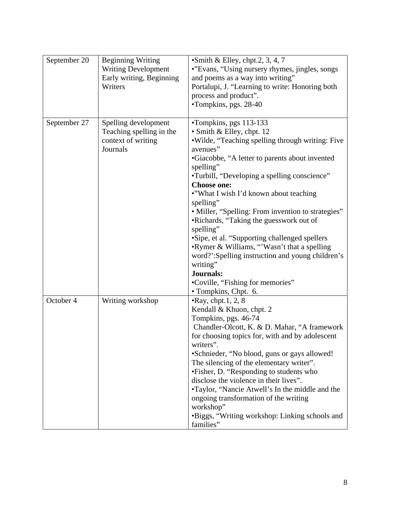| September 20 | <b>Beginning Writing</b><br><b>Writing Development</b><br>Early writing, Beginning<br>Writers | $\bullet$ Smith & Elley, chpt.2, 3, 4, 7<br>•"Evans, "Using nursery rhymes, jingles, songs<br>and poems as a way into writing"<br>Portalupi, J. "Learning to write: Honoring both<br>process and product".<br>•Tompkins, pgs. 28-40                                                                                                                                                                                                                                                                                                                                                                                                                  |
|--------------|-----------------------------------------------------------------------------------------------|------------------------------------------------------------------------------------------------------------------------------------------------------------------------------------------------------------------------------------------------------------------------------------------------------------------------------------------------------------------------------------------------------------------------------------------------------------------------------------------------------------------------------------------------------------------------------------------------------------------------------------------------------|
| September 27 | Spelling development<br>Teaching spelling in the<br>context of writing<br>Journals            | •Tompkins, pgs 113-133<br>• Smith & Elley, chpt. 12<br>.Wilde, "Teaching spelling through writing: Five<br>avenues"<br>•Giacobbe, "A letter to parents about invented<br>spelling"<br>•Turbill, "Developing a spelling conscience"<br><b>Choose one:</b><br>•"What I wish I'd known about teaching<br>spelling"<br>• Miller, "Spelling: From invention to strategies"<br>•Richards, "Taking the guesswork out of<br>spelling"<br>•Sipe, et al. "Supporting challenged spellers<br>•Rymer & Williams, "Wasn't that a spelling<br>word?':Spelling instruction and young children's<br>writing"<br><b>Journals:</b><br>•Coville, "Fishing for memories" |
| October 4    | Writing workshop                                                                              | • Tompkins, Chpt. 6.<br>$\cdot$ Ray, chpt.1, 2, 8<br>Kendall & Khuon, chpt. 2<br>Tompkins, pgs. 46-74<br>Chandler-Olcott, K. & D. Mahar, "A framework<br>for choosing topics for, with and by adolescent<br>writers".<br>•Schnieder, "No blood, guns or gays allowed!<br>The silencing of the elementary writer".<br>•Fisher, D. "Responding to students who<br>disclose the violence in their lives".<br>•Taylor, "Nancie Atwell's In the middle and the<br>ongoing transformation of the writing<br>workshop"<br>•Biggs, "Writing workshop: Linking schools and<br>families"                                                                       |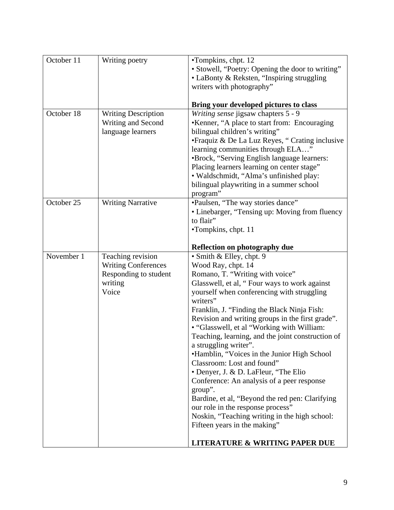| October 11 | Writing poetry                                                                               | •Tompkins, chpt. 12<br>• Stowell, "Poetry: Opening the door to writing"<br>• LaBonty & Reksten, "Inspiring struggling<br>writers with photography"                                                                                                                                                                                                                                                                                                                                                                                                                                                                                                                                                                                                                                                                             |
|------------|----------------------------------------------------------------------------------------------|--------------------------------------------------------------------------------------------------------------------------------------------------------------------------------------------------------------------------------------------------------------------------------------------------------------------------------------------------------------------------------------------------------------------------------------------------------------------------------------------------------------------------------------------------------------------------------------------------------------------------------------------------------------------------------------------------------------------------------------------------------------------------------------------------------------------------------|
|            |                                                                                              | Bring your developed pictures to class                                                                                                                                                                                                                                                                                                                                                                                                                                                                                                                                                                                                                                                                                                                                                                                         |
| October 18 | <b>Writing Description</b><br>Writing and Second<br>language learners                        | Writing sense jigsaw chapters 5 - 9<br>•Kenner, "A place to start from: Encouraging<br>bilingual children's writing"<br>• Fraquiz & De La Luz Reyes, "Crating inclusive<br>learning communities through ELA"<br>•Brock, "Serving English language learners:<br>Placing learners learning on center stage"<br>· Waldschmidt, "Alma's unfinished play:<br>bilingual playwriting in a summer school<br>program"                                                                                                                                                                                                                                                                                                                                                                                                                   |
| October 25 | <b>Writing Narrative</b>                                                                     | •Paulsen, "The way stories dance"<br>• Linebarger, "Tensing up: Moving from fluency<br>to flair"<br>•Tompkins, chpt. 11                                                                                                                                                                                                                                                                                                                                                                                                                                                                                                                                                                                                                                                                                                        |
|            |                                                                                              | <b>Reflection on photography due</b>                                                                                                                                                                                                                                                                                                                                                                                                                                                                                                                                                                                                                                                                                                                                                                                           |
| November 1 | Teaching revision<br><b>Writing Conferences</b><br>Responding to student<br>writing<br>Voice | • Smith & Elley, chpt. 9<br>Wood Ray, chpt. 14<br>Romano, T. "Writing with voice"<br>Glasswell, et al, "Four ways to work against<br>yourself when conferencing with struggling<br>writers"<br>Franklin, J. "Finding the Black Ninja Fish:<br>Revision and writing groups in the first grade".<br>• "Glasswell, et al "Working with William:<br>Teaching, learning, and the joint construction of<br>a struggling writer".<br>•Hamblin, "Voices in the Junior High School<br>Classroom: Lost and found"<br>• Denyer, J. & D. LaFleur, "The Elio<br>Conference: An analysis of a peer response<br>group".<br>Bardine, et al, "Beyond the red pen: Clarifying<br>our role in the response process"<br>Noskin, "Teaching writing in the high school:<br>Fifteen years in the making"<br><b>LITERATURE &amp; WRITING PAPER DUE</b> |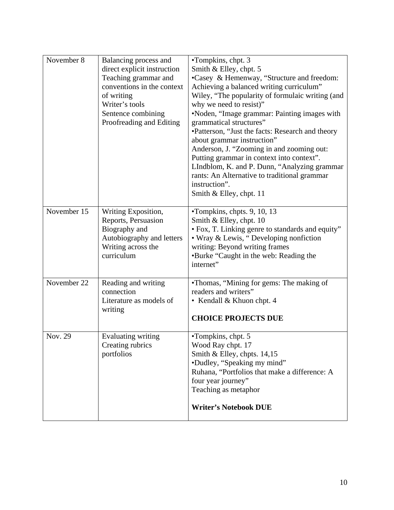| November 8  | Balancing process and<br>direct explicit instruction<br>Teaching grammar and<br>conventions in the context<br>of writing<br>Writer's tools<br>Sentence combining<br>Proofreading and Editing | •Tompkins, chpt. 3<br>Smith & Elley, chpt. 5<br>•Casey & Hemenway, "Structure and freedom:<br>Achieving a balanced writing curriculum"<br>Wiley, "The popularity of formulaic writing (and<br>why we need to resist)"<br>•Noden, "Image grammar: Painting images with<br>grammatical structures"<br>•Patterson, "Just the facts: Research and theory<br>about grammar instruction"<br>Anderson, J. "Zooming in and zooming out:<br>Putting grammar in context into context".<br>LIndblom, K. and P. Dunn, "Analyzing grammar<br>rants: An Alternative to traditional grammar<br>instruction".<br>Smith & Elley, chpt. 11 |
|-------------|----------------------------------------------------------------------------------------------------------------------------------------------------------------------------------------------|--------------------------------------------------------------------------------------------------------------------------------------------------------------------------------------------------------------------------------------------------------------------------------------------------------------------------------------------------------------------------------------------------------------------------------------------------------------------------------------------------------------------------------------------------------------------------------------------------------------------------|
| November 15 | Writing Exposition,<br>Reports, Persuasion<br>Biography and<br>Autobiography and letters<br>Writing across the<br>curriculum                                                                 | •Tompkins, chpts. 9, 10, 13<br>Smith & Elley, chpt. 10<br>• Fox, T. Linking genre to standards and equity"<br>• Wray & Lewis, "Developing nonfiction<br>writing: Beyond writing frames<br>•Burke "Caught in the web: Reading the<br>internet"                                                                                                                                                                                                                                                                                                                                                                            |
| November 22 | Reading and writing<br>connection<br>Literature as models of<br>writing                                                                                                                      | •Thomas, "Mining for gems: The making of<br>readers and writers"<br>• Kendall & Khuon chpt. 4<br><b>CHOICE PROJECTS DUE</b>                                                                                                                                                                                                                                                                                                                                                                                                                                                                                              |
| Nov. 29     | Evaluating writing<br>Creating rubrics<br>portfolios                                                                                                                                         | •Tompkins, chpt. 5<br>Wood Ray chpt. 17<br>Smith & Elley, chpts. $14,15$<br>•Dudley, "Speaking my mind"<br>Ruhana, "Portfolios that make a difference: A<br>four year journey"<br>Teaching as metaphor<br><b>Writer's Notebook DUE</b>                                                                                                                                                                                                                                                                                                                                                                                   |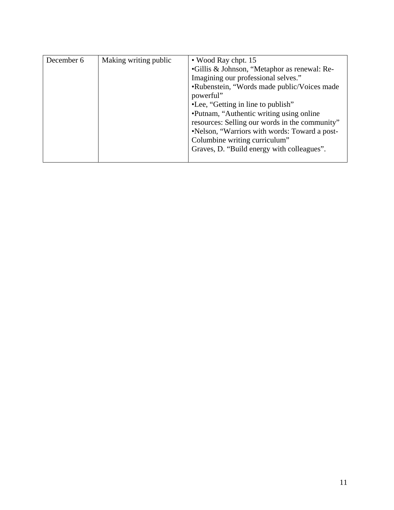| December 6 | Making writing public                      | • Wood Ray chpt. 15<br>•Gillis & Johnson, "Metaphor as renewal: Re-<br>Imagining our professional selves."<br>•Rubenstein, "Words made public/Voices made<br>powerful"<br>•Lee, "Getting in line to publish"<br>•Putnam, "Authentic writing using online"<br>resources: Selling our words in the community"<br>•Nelson, "Warriors with words: Toward a post-<br>Columbine writing curriculum" |
|------------|--------------------------------------------|-----------------------------------------------------------------------------------------------------------------------------------------------------------------------------------------------------------------------------------------------------------------------------------------------------------------------------------------------------------------------------------------------|
|            | Graves, D. "Build energy with colleagues". |                                                                                                                                                                                                                                                                                                                                                                                               |